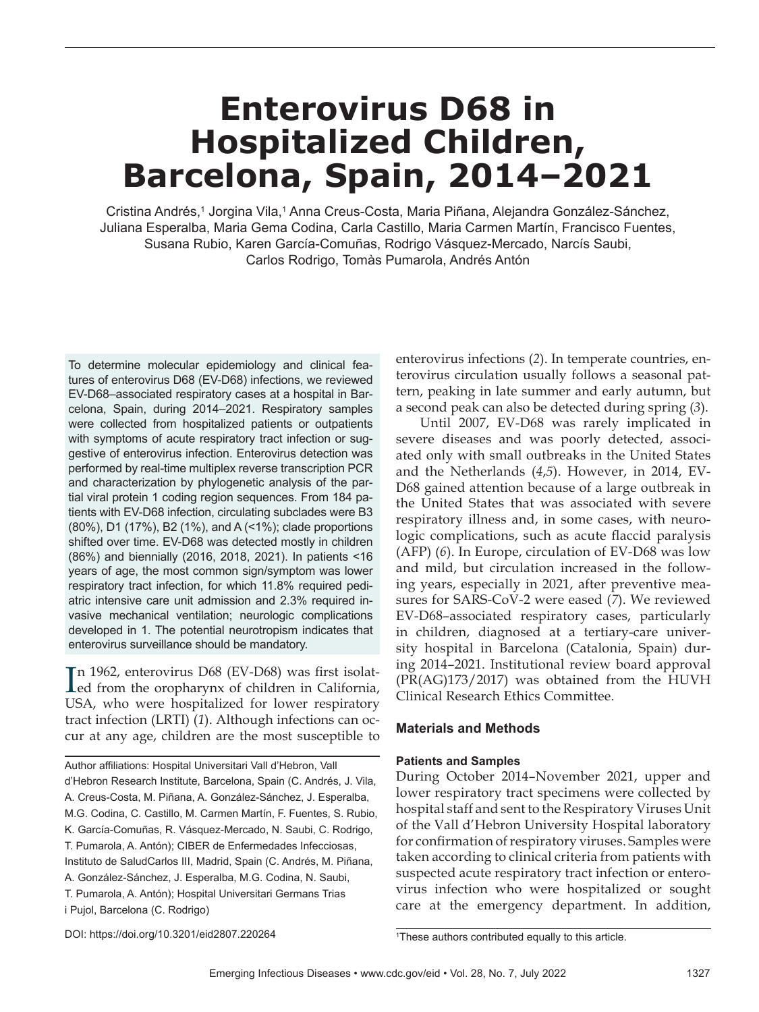# **Enterovirus D68 in Hospitalized Children, Barcelona, Spain, 2014–2021**

Cristina Andrés,1 Jorgina Vila,1 Anna Creus-Costa, Maria Piñana, Alejandra González-Sánchez, Juliana Esperalba, Maria Gema Codina, Carla Castillo, Maria Carmen Martín, Francisco Fuentes, Susana Rubio, Karen García-Comuñas, Rodrigo Vásquez-Mercado, Narcís Saubi, Carlos Rodrigo, Tomàs Pumarola, Andrés Antón

To determine molecular epidemiology and clinical features of enterovirus D68 (EV-D68) infections, we reviewed EV-D68–associated respiratory cases at a hospital in Barcelona, Spain, during 2014–2021. Respiratory samples were collected from hospitalized patients or outpatients with symptoms of acute respiratory tract infection or suggestive of enterovirus infection. Enterovirus detection was performed by real-time multiplex reverse transcription PCR and characterization by phylogenetic analysis of the partial viral protein 1 coding region sequences. From 184 patients with EV-D68 infection, circulating subclades were B3 (80%), D1 (17%), B2 (1%), and A (<1%); clade proportions shifted over time. EV-D68 was detected mostly in children (86%) and biennially (2016, 2018, 2021). In patients <16 years of age, the most common sign/symptom was lower respiratory tract infection, for which 11.8% required pediatric intensive care unit admission and 2.3% required invasive mechanical ventilation; neurologic complications developed in 1. The potential neurotropism indicates that enterovirus surveillance should be mandatory.

In 1962, enterovirus D68 (EV-D68) was first isolated from the oropharynx of children in California, n 1962, enterovirus D68 (EV-D68) was first isolat-USA, who were hospitalized for lower respiratory tract infection (LRTI) (*1*). Although infections can occur at any age, children are the most susceptible to

Author affiliations: Hospital Universitari Vall d'Hebron, Vall d'Hebron Research Institute, Barcelona, Spain (C. Andrés, J. Vila, A. Creus-Costa, M. Piñana, A. González-Sánchez, J. Esperalba, M.G. Codina, C. Castillo, M. Carmen Martín, F. Fuentes, S. Rubio, K. García-Comuñas, R. Vásquez-Mercado, N. Saubi, C. Rodrigo, T. Pumarola, A. Antón); CIBER de Enfermedades Infecciosas, Instituto de SaludCarlos III, Madrid, Spain (C. Andrés, M. Piñana, A. González-Sánchez, J. Esperalba, M.G. Codina, N. Saubi, T. Pumarola, A. Antón); Hospital Universitari Germans Trias i Pujol, Barcelona (C. Rodrigo)

enterovirus infections (*2*). In temperate countries, enterovirus circulation usually follows a seasonal pattern, peaking in late summer and early autumn, but a second peak can also be detected during spring (*3*).

Until 2007, EV-D68 was rarely implicated in severe diseases and was poorly detected, associated only with small outbreaks in the United States and the Netherlands (*4*,*5*). However, in 2014, EV-D68 gained attention because of a large outbreak in the United States that was associated with severe respiratory illness and, in some cases, with neurologic complications, such as acute flaccid paralysis (AFP) (*6*). In Europe, circulation of EV-D68 was low and mild, but circulation increased in the following years, especially in 2021, after preventive measures for SARS-CoV-2 were eased (*7*). We reviewed EV-D68–associated respiratory cases, particularly in children, diagnosed at a tertiary-care university hospital in Barcelona (Catalonia, Spain) during 2014–2021. Institutional review board approval (PR(AG)173/2017) was obtained from the HUVH Clinical Research Ethics Committee.

# **Materials and Methods**

# **Patients and Samples**

During October 2014–November 2021, upper and lower respiratory tract specimens were collected by hospital staff and sent to the Respiratory Viruses Unit of the Vall d'Hebron University Hospital laboratory for confirmation of respiratory viruses. Samples were taken according to clinical criteria from patients with suspected acute respiratory tract infection or enterovirus infection who were hospitalized or sought care at the emergency department. In addition,

DOI: https://doi.org/10.3201/eid2807.220264 <sup>1</sup>

<sup>&</sup>lt;sup>1</sup>These authors contributed equally to this article.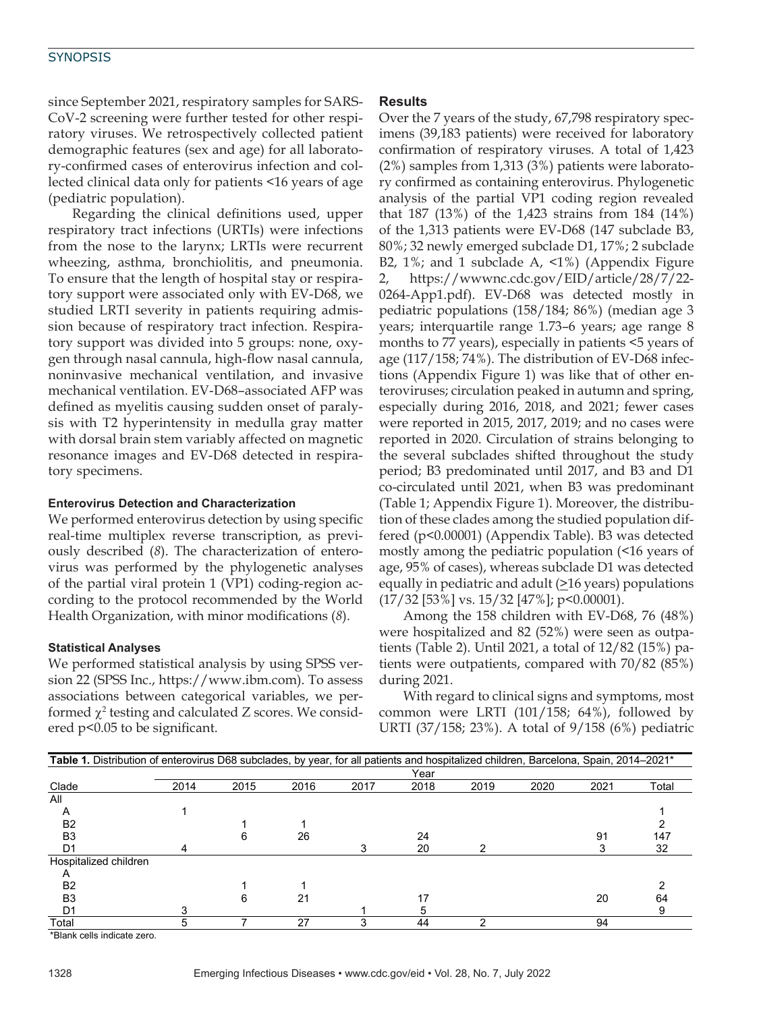since September 2021, respiratory samples for SARS-CoV-2 screening were further tested for other respiratory viruses. We retrospectively collected patient demographic features (sex and age) for all laboratory-confirmed cases of enterovirus infection and collected clinical data only for patients <16 years of age (pediatric population).

Regarding the clinical definitions used, upper respiratory tract infections (URTIs) were infections from the nose to the larynx; LRTIs were recurrent wheezing, asthma, bronchiolitis, and pneumonia. To ensure that the length of hospital stay or respiratory support were associated only with EV-D68, we studied LRTI severity in patients requiring admission because of respiratory tract infection. Respiratory support was divided into 5 groups: none, oxygen through nasal cannula, high-flow nasal cannula, noninvasive mechanical ventilation, and invasive mechanical ventilation. EV-D68–associated AFP was defined as myelitis causing sudden onset of paralysis with T2 hyperintensity in medulla gray matter with dorsal brain stem variably affected on magnetic resonance images and EV-D68 detected in respiratory specimens.

#### **Enterovirus Detection and Characterization**

We performed enterovirus detection by using specific real-time multiplex reverse transcription, as previously described (*8*). The characterization of enterovirus was performed by the phylogenetic analyses of the partial viral protein 1 (VP1) coding-region according to the protocol recommended by the World Health Organization, with minor modifications (*8*).

#### **Statistical Analyses**

We performed statistical analysis by using SPSS version 22 (SPSS Inc., https://www.ibm.com). To assess associations between categorical variables, we performed  $\chi^2$  testing and calculated Z scores. We considered p<0.05 to be significant.

#### **Results**

Over the 7 years of the study, 67,798 respiratory specimens (39,183 patients) were received for laboratory confirmation of respiratory viruses. A total of 1,423 (2%) samples from 1,313 (3%) patients were laboratory confirmed as containing enterovirus. Phylogenetic analysis of the partial VP1 coding region revealed that 187 (13%) of the 1,423 strains from 184 (14%) of the 1,313 patients were EV-D68 (147 subclade B3, 80%; 32 newly emerged subclade D1, 17%; 2 subclade B2, 1%; and 1 subclade A, <1%) (Appendix Figure 2, https://wwwnc.cdc.gov/EID/article/28/7/22- 0264-App1.pdf). EV-D68 was detected mostly in pediatric populations (158/184; 86%) (median age 3 years; interquartile range 1.73–6 years; age range 8 months to 77 years), especially in patients <5 years of age (117/158; 74%). The distribution of EV-D68 infections (Appendix Figure 1) was like that of other enteroviruses; circulation peaked in autumn and spring, especially during 2016, 2018, and 2021; fewer cases were reported in 2015, 2017, 2019; and no cases were reported in 2020. Circulation of strains belonging to the several subclades shifted throughout the study period; B3 predominated until 2017, and B3 and D1 co-circulated until 2021, when B3 was predominant (Table 1; Appendix Figure 1). Moreover, the distribution of these clades among the studied population differed (p<0.00001) (Appendix Table). B3 was detected mostly among the pediatric population (<16 years of age, 95% of cases), whereas subclade D1 was detected equally in pediatric and adult  $(≥16$  years) populations (17/32 [53%] vs. 15/32 [47%]; p<0.00001).

Among the 158 children with EV-D68, 76 (48%) were hospitalized and 82 (52%) were seen as outpatients (Table 2). Until 2021, a total of 12/82 (15%) patients were outpatients, compared with 70/82 (85%) during 2021.

With regard to clinical signs and symptoms, most common were LRTI (101/158; 64%), followed by URTI (37/158; 23%). A total of 9/158 (6%) pediatric

| Table 1. Distribution of enterovirus D68 subclades, by year, for all patients and hospitalized children, Barcelona, Spain, 2014-2021* |      |      |      |      |      |      |      |      |       |
|---------------------------------------------------------------------------------------------------------------------------------------|------|------|------|------|------|------|------|------|-------|
|                                                                                                                                       | Year |      |      |      |      |      |      |      |       |
| Clade                                                                                                                                 | 2014 | 2015 | 2016 | 2017 | 2018 | 2019 | 2020 | 2021 | Total |
| All                                                                                                                                   |      |      |      |      |      |      |      |      |       |
| A                                                                                                                                     |      |      |      |      |      |      |      |      |       |
| B <sub>2</sub>                                                                                                                        |      |      |      |      |      |      |      |      |       |
| B <sub>3</sub>                                                                                                                        |      | h    | 26   |      | 24   |      |      | 91   | 147   |
| D1                                                                                                                                    |      |      |      |      | 20   |      |      |      | 32    |
| Hospitalized children                                                                                                                 |      |      |      |      |      |      |      |      |       |
| А                                                                                                                                     |      |      |      |      |      |      |      |      |       |
| B <sub>2</sub>                                                                                                                        |      |      |      |      |      |      |      |      |       |
| B <sub>3</sub>                                                                                                                        |      | 6    | 21   |      | 17   |      |      | 20   | 64    |
| D1                                                                                                                                    |      |      |      |      | 5    |      |      |      |       |
| Total                                                                                                                                 | 5    |      | 27   | 3    | 44   |      |      | 94   |       |

\*Blank cells indicate zero.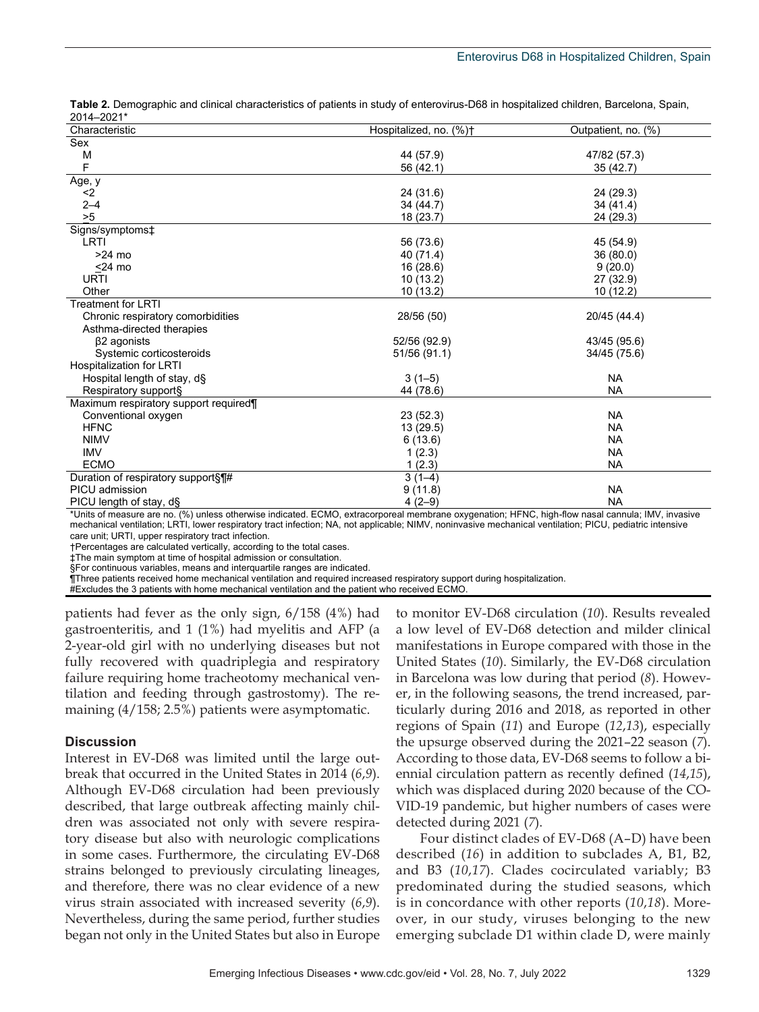| ZU14-ZUZ1                             |                        |                     |
|---------------------------------------|------------------------|---------------------|
| Characteristic                        | Hospitalized, no. (%)+ | Outpatient, no. (%) |
| Sex                                   |                        |                     |
| M                                     | 44 (57.9)              | 47/82 (57.3)        |
| F                                     | 56 (42.1)              | 35(42.7)            |
| Age, y                                |                        |                     |
| $2$                                   | 24 (31.6)              | 24 (29.3)           |
| $2 - 4$                               | 34 (44.7)              | 34 (41.4)           |
| >5                                    | 18 (23.7)              | 24 (29.3)           |
| Signs/symptoms‡                       |                        |                     |
| LRTI                                  | 56 (73.6)              | 45 (54.9)           |
| $>24$ mo                              | 40 (71.4)              | 36 (80.0)           |
| $<$ 24 mo                             | 16(28.6)               | 9(20.0)             |
| <b>URTI</b>                           | 10(13.2)               | 27 (32.9)           |
| Other                                 | 10(13.2)               | 10(12.2)            |
| <b>Treatment for LRTI</b>             |                        |                     |
| Chronic respiratory comorbidities     | 28/56 (50)             | 20/45 (44.4)        |
| Asthma-directed therapies             |                        |                     |
| $\beta$ 2 agonists                    | 52/56 (92.9)           | 43/45 (95.6)        |
| Systemic corticosteroids              | 51/56 (91.1)           | 34/45 (75.6)        |
| Hospitalization for LRTI              |                        |                     |
| Hospital length of stay, d§           | $3(1-5)$               | <b>NA</b>           |
| Respiratory support§                  | 44 (78.6)              | <b>NA</b>           |
| Maximum respiratory support required¶ |                        |                     |
| Conventional oxygen                   | 23(52.3)               | <b>NA</b>           |
| <b>HFNC</b>                           | 13(29.5)               | <b>NA</b>           |
| <b>NIMV</b>                           | 6(13.6)                | <b>NA</b>           |
| <b>IMV</b>                            | 1(2.3)                 | <b>NA</b>           |
| <b>ECMO</b>                           | 1(2.3)                 | NA                  |
| Duration of respiratory support§¶#    | $3(1-4)$               |                     |
| PICU admission                        | 9(11.8)                | <b>NA</b>           |
| PICU length of stay, d§               | $4(2-9)$               | <b>NA</b>           |

**Table 2.** Demographic and clinical characteristics of patients in study of enterovirus-D68 in hospitalized children, Barcelona, Spain, 2014–2021\*

\*Units of measure are no. (%) unless otherwise indicated. ECMO, extracorporeal membrane oxygenation; HFNC, high-flow nasal cannula; IMV, invasive mechanical ventilation; LRTI, lower respiratory tract infection; NA, not applicable; NIMV, noninvasive mechanical ventilation; PICU, pediatric intensive care unit; URTI, upper respiratory tract infection.

†Percentages are calculated vertically, according to the total cases.

‡The main symptom at time of hospital admission or consultation.

§For continuous variables, means and interquartile ranges are indicated.

¶Three patients received home mechanical ventilation and required increased respiratory support during hospitalization.

#Excludes the 3 patients with home mechanical ventilation and the patient who received ECMO.

patients had fever as the only sign, 6/158 (4%) had gastroenteritis, and 1 (1%) had myelitis and AFP (a 2-year-old girl with no underlying diseases but not fully recovered with quadriplegia and respiratory failure requiring home tracheotomy mechanical ventilation and feeding through gastrostomy). The remaining (4/158; 2.5%) patients were asymptomatic.

#### **Discussion**

Interest in EV-D68 was limited until the large outbreak that occurred in the United States in 2014 (*6*,*9*). Although EV-D68 circulation had been previously described, that large outbreak affecting mainly children was associated not only with severe respiratory disease but also with neurologic complications in some cases. Furthermore, the circulating EV-D68 strains belonged to previously circulating lineages, and therefore, there was no clear evidence of a new virus strain associated with increased severity (*6*,*9*). Nevertheless, during the same period, further studies began not only in the United States but also in Europe

to monitor EV-D68 circulation (*10*). Results revealed a low level of EV-D68 detection and milder clinical manifestations in Europe compared with those in the United States (*10*). Similarly, the EV-D68 circulation in Barcelona was low during that period (*8*). However, in the following seasons, the trend increased, particularly during 2016 and 2018, as reported in other regions of Spain (*11*) and Europe (*12*,*13*), especially the upsurge observed during the 2021–22 season (*7*). According to those data, EV-D68 seems to follow a biennial circulation pattern as recently defined (*14*,*15*), which was displaced during 2020 because of the CO-VID-19 pandemic, but higher numbers of cases were detected during 2021 (*7*).

Four distinct clades of EV-D68 (A–D) have been described (*16*) in addition to subclades A, B1, B2, and B3 (*10*,*17*). Clades cocirculated variably; B3 predominated during the studied seasons, which is in concordance with other reports (*10*,*18*). Moreover, in our study, viruses belonging to the new emerging subclade D1 within clade D, were mainly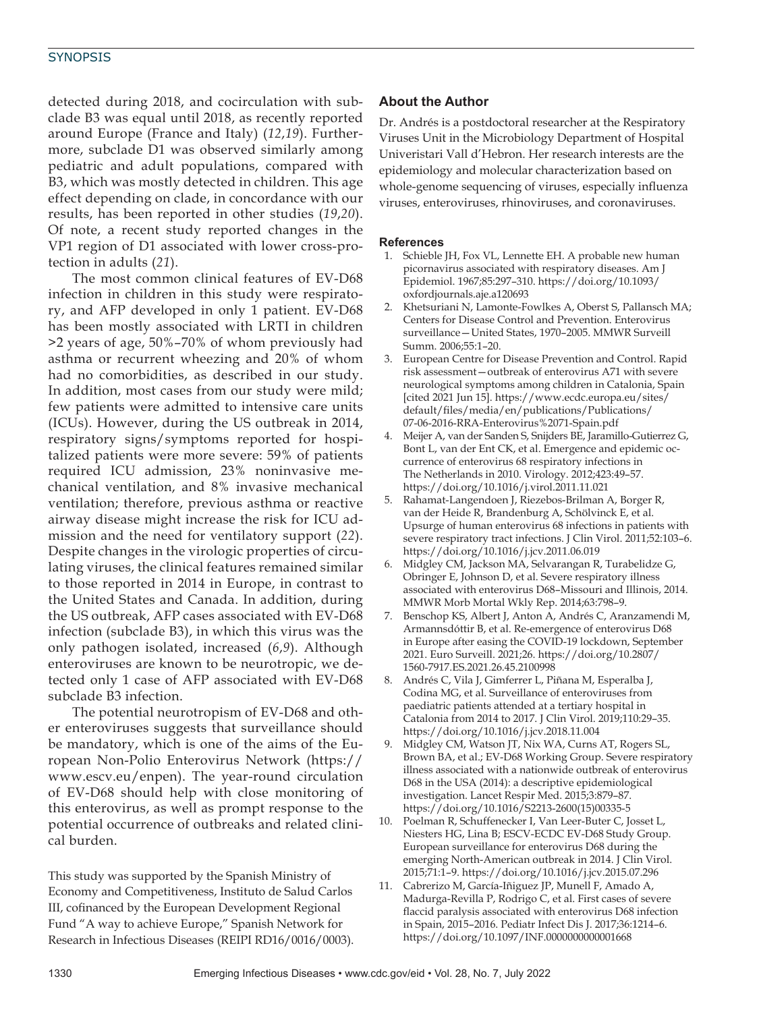#### **SYNOPSIS**

detected during 2018, and cocirculation with subclade B3 was equal until 2018, as recently reported around Europe (France and Italy) (*12*,*19*). Furthermore, subclade D1 was observed similarly among pediatric and adult populations, compared with B3, which was mostly detected in children. This age effect depending on clade, in concordance with our results, has been reported in other studies (*19*,*20*). Of note, a recent study reported changes in the VP1 region of D1 associated with lower cross-protection in adults (*21*).

The most common clinical features of EV-D68 infection in children in this study were respiratory, and AFP developed in only 1 patient. EV-D68 has been mostly associated with LRTI in children >2 years of age, 50%–70% of whom previously had asthma or recurrent wheezing and 20% of whom had no comorbidities, as described in our study. In addition, most cases from our study were mild; few patients were admitted to intensive care units (ICUs). However, during the US outbreak in 2014, respiratory signs/symptoms reported for hospitalized patients were more severe: 59% of patients required ICU admission, 23% noninvasive mechanical ventilation, and 8% invasive mechanical ventilation; therefore, previous asthma or reactive airway disease might increase the risk for ICU admission and the need for ventilatory support (*22*). Despite changes in the virologic properties of circulating viruses, the clinical features remained similar to those reported in 2014 in Europe, in contrast to the United States and Canada. In addition, during the US outbreak, AFP cases associated with EV-D68 infection (subclade B3), in which this virus was the only pathogen isolated, increased (*6*,*9*). Although enteroviruses are known to be neurotropic, we detected only 1 case of AFP associated with EV-D68 subclade B3 infection.

The potential neurotropism of EV-D68 and other enteroviruses suggests that surveillance should be mandatory, which is one of the aims of the European Non-Polio Enterovirus Network (https:// www.escv.eu/enpen). The year-round circulation of EV-D68 should help with close monitoring of this enterovirus, as well as prompt response to the potential occurrence of outbreaks and related clinical burden.

This study was supported by the Spanish Ministry of Economy and Competitiveness, Instituto de Salud Carlos III, cofinanced by the European Development Regional Fund "A way to achieve Europe," Spanish Network for Research in Infectious Diseases (REIPI RD16/0016/0003).

### **About the Author**

Dr. Andrés is a postdoctoral researcher at the Respiratory Viruses Unit in the Microbiology Department of Hospital Univeristari Vall d'Hebron. Her research interests are the epidemiology and molecular characterization based on whole-genome sequencing of viruses, especially influenza viruses, enteroviruses, rhinoviruses, and coronaviruses.

#### **References**

- 1. Schieble JH, Fox VL, Lennette EH. A probable new human picornavirus associated with respiratory diseases. Am J Epidemiol. 1967;85:297–310. https://doi.org/10.1093/ oxfordjournals.aje.a120693
- 2. Khetsuriani N, Lamonte-Fowlkes A, Oberst S, Pallansch MA; Centers for Disease Control and Prevention. Enterovirus surveillance—United States, 1970–2005. MMWR Surveill Summ. 2006;55:1–20.
- 3. European Centre for Disease Prevention and Control. Rapid risk assessment—outbreak of enterovirus A71 with severe neurological symptoms among children in Catalonia, Spain [cited 2021 Jun 15]. https://www.ecdc.europa.eu/sites/ default/files/media/en/publications/Publications/ 07-06-2016-RRA-Enterovirus%2071-Spain.pdf
- 4. Meijer A, van der Sanden S, Snijders BE, Jaramillo-Gutierrez G, Bont L, van der Ent CK, et al. Emergence and epidemic occurrence of enterovirus 68 respiratory infections in The Netherlands in 2010. Virology. 2012;423:49–57. https://doi.org/10.1016/j.virol.2011.11.021
- 5. Rahamat-Langendoen J, Riezebos-Brilman A, Borger R, van der Heide R, Brandenburg A, Schölvinck E, et al. Upsurge of human enterovirus 68 infections in patients with severe respiratory tract infections. J Clin Virol. 2011;52:103–6. https://doi.org/10.1016/j.jcv.2011.06.019
- 6. Midgley CM, Jackson MA, Selvarangan R, Turabelidze G, Obringer E, Johnson D, et al. Severe respiratory illness associated with enterovirus D68–Missouri and Illinois, 2014. MMWR Morb Mortal Wkly Rep. 2014;63:798–9.
- 7. Benschop KS, Albert J, Anton A, Andrés C, Aranzamendi M, Armannsdóttir B, et al. Re-emergence of enterovirus D68 in Europe after easing the COVID-19 lockdown, September 2021. Euro Surveill. 2021;26. https://doi.org/10.2807/ 1560-7917.ES.2021.26.45.2100998
- 8. Andrés C, Vila J, Gimferrer L, Piñana M, Esperalba J, Codina MG, et al. Surveillance of enteroviruses from paediatric patients attended at a tertiary hospital in Catalonia from 2014 to 2017. J Clin Virol. 2019;110:29–35. https://doi.org/10.1016/j.jcv.2018.11.004
- 9. Midgley CM, Watson JT, Nix WA, Curns AT, Rogers SL, Brown BA, et al.; EV-D68 Working Group. Severe respiratory illness associated with a nationwide outbreak of enterovirus D68 in the USA (2014): a descriptive epidemiological investigation. Lancet Respir Med. 2015;3:879–87. https://doi.org/10.1016/S2213-2600(15)00335-5
- 10. Poelman R, Schuffenecker I, Van Leer-Buter C, Josset L, Niesters HG, Lina B; ESCV-ECDC EV-D68 Study Group. European surveillance for enterovirus D68 during the emerging North-American outbreak in 2014. J Clin Virol. 2015;71:1–9. https://doi.org/10.1016/j.jcv.2015.07.296
- 11. Cabrerizo M, García-Iñiguez JP, Munell F, Amado A, Madurga-Revilla P, Rodrigo C, et al. First cases of severe flaccid paralysis associated with enterovirus D68 infection in Spain, 2015–2016. Pediatr Infect Dis J. 2017;36:1214–6. https://doi.org/10.1097/INF.0000000000001668